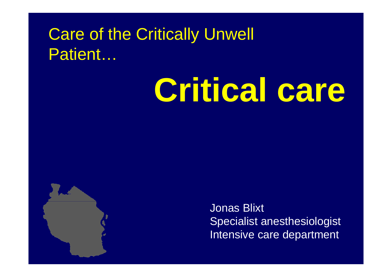### Care of the Critically Unwell Patient…

# **Critical care**



Jonas Blixt Specialist anesthesiologist Intensive care department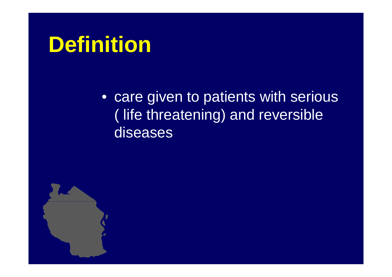# **Definition**

• care given to patients with serious ( life threatening) and reversible diseases

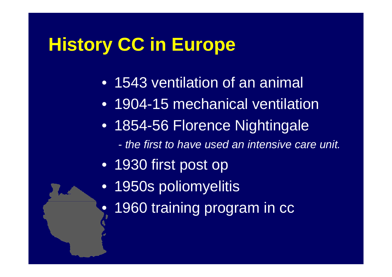# **History CC in Europe**

- 1543 ventilation of an animal
- 1904-15 mechanical ventilation
- 1854-56 Florence Nightingale
	- *- the first to have used an intensive care unit.*
- 1930 first post op
- •1950s poliomyelitis
- $\bullet$ 1960 training program in cc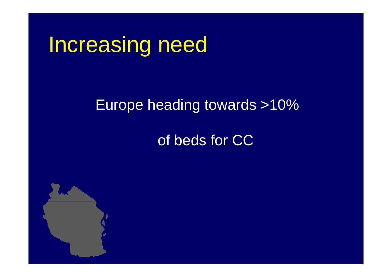# Increasing need

### Europe heading towards >10%

### of beds for CC

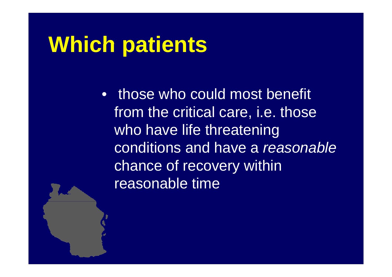# **Which patients**

• those who could most benefit from the critical care, i.e. those who have life threatening conditions and have a *reasonable*chance of recovery within reasonable time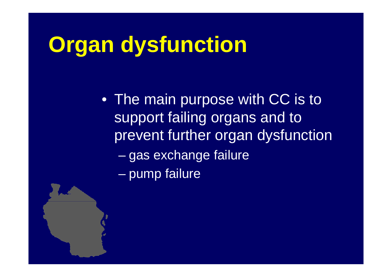# **Organ dysfunction Organ**

–

• The main purpose with CC is to support failing organs and to prevent further organ dysfunction en al control de la control de gas exchange failure – pump failure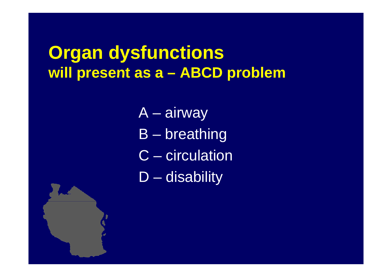#### **Organ dysfunctions will present as <sup>a</sup> –ABCD problem**

- $\boldsymbol{\mathsf{A}}$ –airway
- B –breathing
- C circulation
- D  $\mathcal{L}_{\mathcal{A}}$ – disability

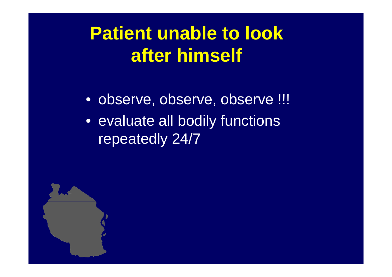**Patient unable to look after himself**

• observe, observe, observe !!! • evaluate all bodily functions repeatedly 24/7

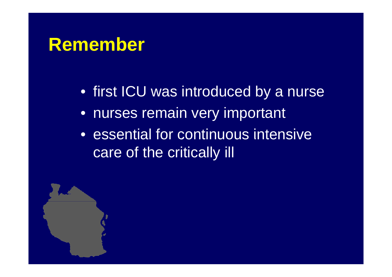### **Remember**

- first ICU was introduced by a nurse
- nurses remain very important
- $\bullet\,$  essential for continuous intensive care of the critically ill

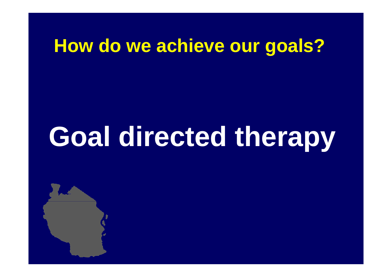# **How do we achieve our goals?**

# **Goal** directed therapy

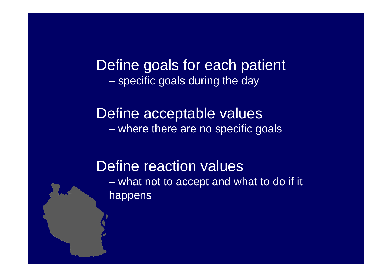Define goals for each patient  $-$  specific goals during the day

Define acceptable values  $\mathcal{L}_{\mathcal{A}}$ where there are no specific goals

Define reaction values what not to accept and what to do if it happens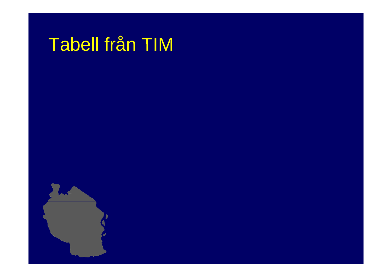# Tabell från TIM

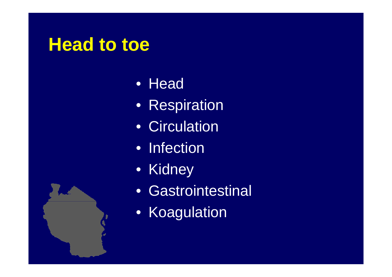## **Head to toe to**

- Head
- Respiration
- Circulation
- Infection
- Kidney
- Gastrointestinal
- Koagulation

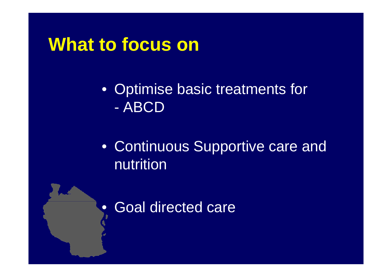### **What to focus on to**

- Optimise basic treatments for - ABCD
- Continuous Supportive care and nutrition
- $\bullet$ Goal directed care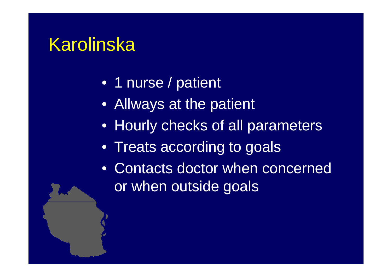## Karolinska

- 1 nurse / patient
- Allways at the patient
- Hourly checks of all parameters
- Treats according to goals
- Contacts doctor when concerned or when outside goals